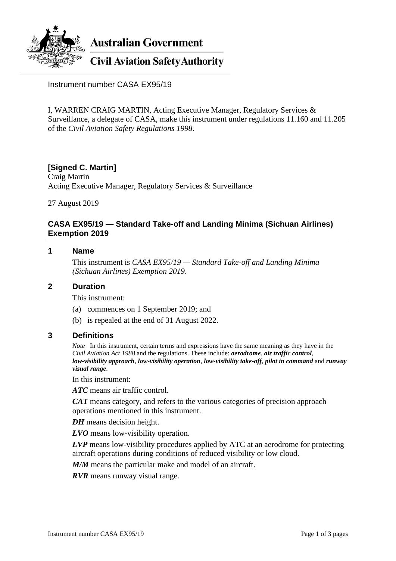

**Australian Government** 

**Civil Aviation Safety Authority** 

Instrument number CASA EX95/19

I, WARREN CRAIG MARTIN, Acting Executive Manager, Regulatory Services & Surveillance, a delegate of CASA, make this instrument under regulations 11.160 and 11.205 of the *Civil Aviation Safety Regulations 1998*.

# **[Signed C. Martin]**

Craig Martin Acting Executive Manager, Regulatory Services & Surveillance

27 August 2019

## **CASA EX95/19 — Standard Take-off and Landing Minima (Sichuan Airlines) Exemption 2019**

### **1 Name**

This instrument is *CASA EX95/19 — Standard Take-off and Landing Minima (Sichuan Airlines) Exemption 2019*.

#### **2 Duration**

This instrument:

- (a) commences on 1 September 2019; and
- (b) is repealed at the end of 31 August 2022.

#### **3 Definitions**

*Note* In this instrument, certain terms and expressions have the same meaning as they have in the *Civil Aviation Act 1988* and the regulations. These include: *aerodrome*, *air traffic control*, *low-visibility approach*, *low-visibility operation*, *low-visibility take-off*, *pilot in command* and *runway visual range*.

In this instrument:

*ATC* means air traffic control.

*CAT* means category, and refers to the various categories of precision approach operations mentioned in this instrument.

*DH* means decision height.

*LVO* means low-visibility operation.

*LVP* means low-visibility procedures applied by ATC at an aerodrome for protecting aircraft operations during conditions of reduced visibility or low cloud.

*M/M* means the particular make and model of an aircraft.

*RVR* means runway visual range.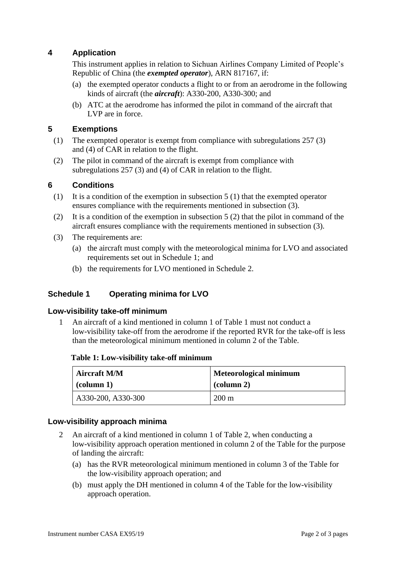# **4 Application**

This instrument applies in relation to Sichuan Airlines Company Limited of People's Republic of China (the *exempted operator*), ARN 817167, if:

- (a) the exempted operator conducts a flight to or from an aerodrome in the following kinds of aircraft (the *aircraft*): A330-200, A330-300; and
- (b) ATC at the aerodrome has informed the pilot in command of the aircraft that LVP are in force.

## **5 Exemptions**

- (1) The exempted operator is exempt from compliance with subregulations 257 (3) and (4) of CAR in relation to the flight.
- (2) The pilot in command of the aircraft is exempt from compliance with subregulations 257 (3) and (4) of CAR in relation to the flight.

## **6 Conditions**

- (1) It is a condition of the exemption in subsection 5 (1) that the exempted operator ensures compliance with the requirements mentioned in subsection (3).
- (2) It is a condition of the exemption in subsection 5 (2) that the pilot in command of the aircraft ensures compliance with the requirements mentioned in subsection (3).
- (3) The requirements are:
	- (a) the aircraft must comply with the meteorological minima for LVO and associated requirements set out in Schedule 1; and
	- (b) the requirements for LVO mentioned in Schedule 2.

# **Schedule 1 Operating minima for LVO**

### **Low-visibility take-off minimum**

1 An aircraft of a kind mentioned in column 1 of Table 1 must not conduct a low-visibility take-off from the aerodrome if the reported RVR for the take-off is less than the meteorological minimum mentioned in column 2 of the Table.

| Table 1: Low-visibility take-off minimum |  |
|------------------------------------------|--|
|------------------------------------------|--|

| <b>Aircraft M/M</b> | <b>Meteorological minimum</b> |
|---------------------|-------------------------------|
| $\alpha$ (column 1) | $\alpha$ (column 2)           |
| A330-200, A330-300  | $200 \text{ m}$               |

### **Low-visibility approach minima**

- 2 An aircraft of a kind mentioned in column 1 of Table 2, when conducting a low-visibility approach operation mentioned in column 2 of the Table for the purpose of landing the aircraft:
	- (a) has the RVR meteorological minimum mentioned in column 3 of the Table for the low-visibility approach operation; and
	- (b) must apply the DH mentioned in column 4 of the Table for the low-visibility approach operation.